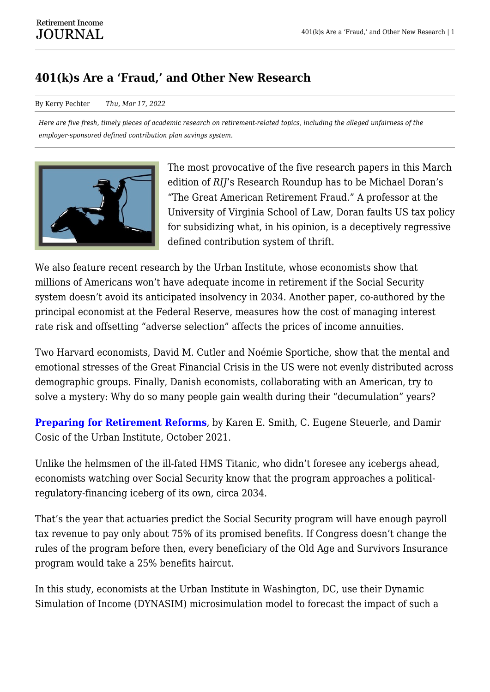## **401(k)s Are a 'Fraud,' and Other New Research**

By Kerry Pechter *Thu, Mar 17, 2022*

*Here are five fresh, timely pieces of academic research on retirement-related topics, including the alleged unfairness of the employer-sponsored defined contribution plan savings system.*



The most provocative of the five research papers in this March edition of *RIJ*'s Research Roundup has to be Michael Doran's "The Great American Retirement Fraud." A professor at the University of Virginia School of Law, Doran faults US tax policy for subsidizing what, in his opinion, is a deceptively regressive defined contribution system of thrift.

We also feature recent research by the Urban Institute, whose economists show that millions of Americans won't have adequate income in retirement if the Social Security system doesn't avoid its anticipated insolvency in 2034. Another paper, co-authored by the principal economist at the Federal Reserve, measures how the cost of managing interest rate risk and offsetting "adverse selection" affects the prices of income annuities.

Two Harvard economists, David M. Cutler and Noémie Sportiche, show that the mental and emotional stresses of the Great Financial Crisis in the US were not evenly distributed across demographic groups. Finally, Danish economists, collaborating with an American, try to solve a mystery: Why do so many people gain wealth during their "decumulation" years?

**[Preparing for Retirement Reforms](https://www.urban.org/sites/default/files/publication/104874/preparing-for-retirement-reforms_1.pdf)**, by Karen E. Smith, C. Eugene Steuerle, and Damir Cosic of the Urban Institute, October 2021.

Unlike the helmsmen of the ill-fated HMS Titanic, who didn't foresee any icebergs ahead, economists watching over Social Security know that the program approaches a politicalregulatory-financing iceberg of its own, circa 2034.

That's the year that actuaries predict the Social Security program will have enough payroll tax revenue to pay only about 75% of its promised benefits. If Congress doesn't change the rules of the program before then, every beneficiary of the Old Age and Survivors Insurance program would take a 25% benefits haircut.

In this study, economists at the Urban Institute in Washington, DC, use their Dynamic Simulation of Income (DYNASIM) microsimulation model to forecast the impact of such a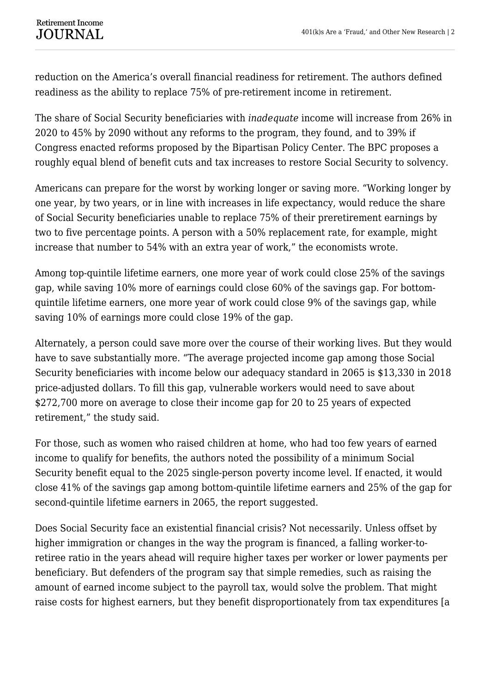reduction on the America's overall financial readiness for retirement. The authors defined readiness as the ability to replace 75% of pre-retirement income in retirement.

The share of Social Security beneficiaries with *inadequate* income will increase from 26% in 2020 to 45% by 2090 without any reforms to the program, they found, and to 39% if Congress enacted reforms proposed by the Bipartisan Policy Center. The BPC proposes a roughly equal blend of benefit cuts and tax increases to restore Social Security to solvency.

Americans can prepare for the worst by working longer or saving more. "Working longer by one year, by two years, or in line with increases in life expectancy, would reduce the share of Social Security beneficiaries unable to replace 75% of their preretirement earnings by two to five percentage points. A person with a 50% replacement rate, for example, might increase that number to 54% with an extra year of work," the economists wrote.

Among top-quintile lifetime earners, one more year of work could close 25% of the savings gap, while saving 10% more of earnings could close 60% of the savings gap. For bottomquintile lifetime earners, one more year of work could close 9% of the savings gap, while saving 10% of earnings more could close 19% of the gap.

Alternately, a person could save more over the course of their working lives. But they would have to save substantially more. "The average projected income gap among those Social Security beneficiaries with income below our adequacy standard in 2065 is \$13,330 in 2018 price-adjusted dollars. To fill this gap, vulnerable workers would need to save about \$272,700 more on average to close their income gap for 20 to 25 years of expected retirement," the study said.

For those, such as women who raised children at home, who had too few years of earned income to qualify for benefits, the authors noted the possibility of a minimum Social Security benefit equal to the 2025 single-person poverty income level. If enacted, it would close 41% of the savings gap among bottom-quintile lifetime earners and 25% of the gap for second-quintile lifetime earners in 2065, the report suggested.

Does Social Security face an existential financial crisis? Not necessarily. Unless offset by higher immigration or changes in the way the program is financed, a falling worker-toretiree ratio in the years ahead will require higher taxes per worker or lower payments per beneficiary. But defenders of the program say that simple remedies, such as raising the amount of earned income subject to the payroll tax, would solve the problem. That might raise costs for highest earners, but they benefit disproportionately from tax expenditures [a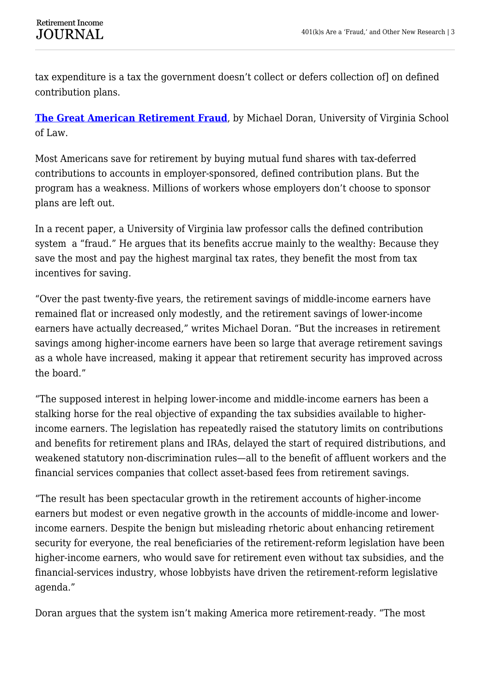tax expenditure is a tax the government doesn't collect or defers collection of] on defined contribution plans.

**[The Great American Retirement Fraud](https://papers.ssrn.com/sol3/papers.cfm?abstract_id=3997927)**, by Michael Doran, University of Virginia School of Law.

Most Americans save for retirement by buying mutual fund shares with tax-deferred contributions to accounts in employer-sponsored, defined contribution plans. But the program has a weakness. Millions of workers whose employers don't choose to sponsor plans are left out.

In a recent paper, a University of Virginia law professor calls the defined contribution system a "fraud." He argues that its benefits accrue mainly to the wealthy: Because they save the most and pay the highest marginal tax rates, they benefit the most from tax incentives for saving.

"Over the past twenty-five years, the retirement savings of middle-income earners have remained flat or increased only modestly, and the retirement savings of lower-income earners have actually decreased," writes Michael Doran. "But the increases in retirement savings among higher-income earners have been so large that average retirement savings as a whole have increased, making it appear that retirement security has improved across the board."

"The supposed interest in helping lower-income and middle-income earners has been a stalking horse for the real objective of expanding the tax subsidies available to higherincome earners. The legislation has repeatedly raised the statutory limits on contributions and benefits for retirement plans and IRAs, delayed the start of required distributions, and weakened statutory non-discrimination rules—all to the benefit of affluent workers and the financial services companies that collect asset-based fees from retirement savings.

"The result has been spectacular growth in the retirement accounts of higher-income earners but modest or even negative growth in the accounts of middle-income and lowerincome earners. Despite the benign but misleading rhetoric about enhancing retirement security for everyone, the real beneficiaries of the retirement-reform legislation have been higher-income earners, who would save for retirement even without tax subsidies, and the financial-services industry, whose lobbyists have driven the retirement-reform legislative agenda."

Doran argues that the system isn't making America more retirement-ready. "The most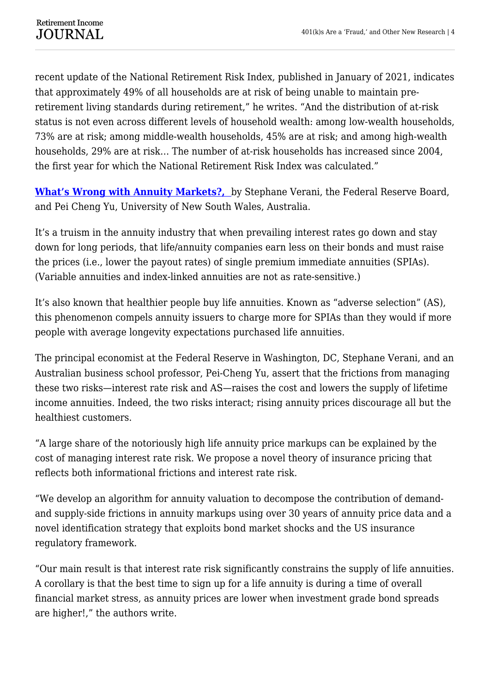recent update of the National Retirement Risk Index, published in January of 2021, indicates that approximately 49% of all households are at risk of being unable to maintain preretirement living standards during retirement," he writes. "And the distribution of at-risk status is not even across different levels of household wealth: among low-wealth households, 73% are at risk; among middle-wealth households, 45% are at risk; and among high-wealth households, 29% are at risk… The number of at-risk households has increased since 2004, the first year for which the National Retirement Risk Index was calculated."

**[What's Wrong with Annuity Markets?,](https://www.federalreserve.gov/econres/feds/files/2021044pap.pdf)** by Stephane Verani, the Federal Reserve Board, and Pei Cheng Yu, University of New South Wales, Australia.

It's a truism in the annuity industry that when prevailing interest rates go down and stay down for long periods, that life/annuity companies earn less on their bonds and must raise the prices (i.e., lower the payout rates) of single premium immediate annuities (SPIAs). (Variable annuities and index-linked annuities are not as rate-sensitive.)

It's also known that healthier people buy life annuities. Known as "adverse selection" (AS), this phenomenon compels annuity issuers to charge more for SPIAs than they would if more people with average longevity expectations purchased life annuities.

The principal economist at the Federal Reserve in Washington, DC, Stephane Verani, and an Australian business school professor, Pei-Cheng Yu, assert that the frictions from managing these two risks—interest rate risk and AS—raises the cost and lowers the supply of lifetime income annuities. Indeed, the two risks interact; rising annuity prices discourage all but the healthiest customers.

"A large share of the notoriously high life annuity price markups can be explained by the cost of managing interest rate risk. We propose a novel theory of insurance pricing that reflects both informational frictions and interest rate risk.

"We develop an algorithm for annuity valuation to decompose the contribution of demandand supply-side frictions in annuity markups using over 30 years of annuity price data and a novel identification strategy that exploits bond market shocks and the US insurance regulatory framework.

"Our main result is that interest rate risk significantly constrains the supply of life annuities. A corollary is that the best time to sign up for a life annuity is during a time of overall financial market stress, as annuity prices are lower when investment grade bond spreads are higher!," the authors write.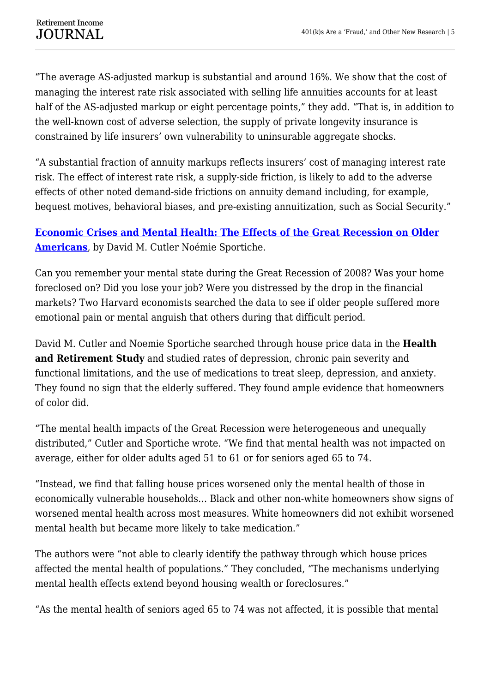"The average AS-adjusted markup is substantial and around 16%. We show that the cost of managing the interest rate risk associated with selling life annuities accounts for at least half of the AS-adjusted markup or eight percentage points," they add. "That is, in addition to the well-known cost of adverse selection, the supply of private longevity insurance is constrained by life insurers' own vulnerability to uninsurable aggregate shocks.

"A substantial fraction of annuity markups reflects insurers' cost of managing interest rate risk. The effect of interest rate risk, a supply-side friction, is likely to add to the adverse effects of other noted demand-side frictions on annuity demand including, for example, bequest motives, behavioral biases, and pre-existing annuitization, such as Social Security."

## **[Economic Crises and Mental Health: The Effects of the Great Recession on Older](http://www.nber.org/papers/w29817) [Americans](http://www.nber.org/papers/w29817)**, by David M. Cutler Noémie Sportiche.

Can you remember your mental state during the Great Recession of 2008? Was your home foreclosed on? Did you lose your job? Were you distressed by the drop in the financial markets? Two Harvard economists searched the data to see if older people suffered more emotional pain or mental anguish that others during that difficult period.

David M. Cutler and Noemie Sportiche searched through house price data in the **Health and Retirement Study** and studied rates of depression, chronic pain severity and functional limitations, and the use of medications to treat sleep, depression, and anxiety. They found no sign that the elderly suffered. They found ample evidence that homeowners of color did.

"The mental health impacts of the Great Recession were heterogeneous and unequally distributed," Cutler and Sportiche wrote. "We find that mental health was not impacted on average, either for older adults aged 51 to 61 or for seniors aged 65 to 74.

"Instead, we find that falling house prices worsened only the mental health of those in economically vulnerable households… Black and other non-white homeowners show signs of worsened mental health across most measures. White homeowners did not exhibit worsened mental health but became more likely to take medication."

The authors were "not able to clearly identify the pathway through which house prices affected the mental health of populations." They concluded, "The mechanisms underlying mental health effects extend beyond housing wealth or foreclosures."

"As the mental health of seniors aged 65 to 74 was not affected, it is possible that mental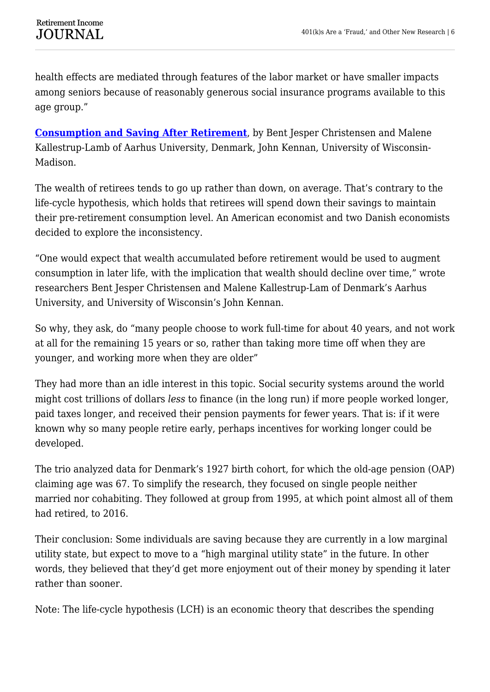health effects are mediated through features of the labor market or have smaller impacts among seniors because of reasonably generous social insurance programs available to this age group."

**[Consumption and Saving After Retirement](http://www.nber.org/papers/w29826)**, by Bent Jesper Christensen and Malene Kallestrup-Lamb of Aarhus University, Denmark, John Kennan, University of Wisconsin-Madison.

The wealth of retirees tends to go up rather than down, on average. That's contrary to the life-cycle hypothesis, which holds that retirees will spend down their savings to maintain their pre-retirement consumption level. An American economist and two Danish economists decided to explore the inconsistency.

"One would expect that wealth accumulated before retirement would be used to augment consumption in later life, with the implication that wealth should decline over time," wrote researchers Bent Jesper Christensen and Malene Kallestrup-Lam of Denmark's Aarhus University, and University of Wisconsin's John Kennan.

So why, they ask, do "many people choose to work full-time for about 40 years, and not work at all for the remaining 15 years or so, rather than taking more time off when they are younger, and working more when they are older"

They had more than an idle interest in this topic. Social security systems around the world might cost trillions of dollars *less* to finance (in the long run) if more people worked longer, paid taxes longer, and received their pension payments for fewer years. That is: if it were known why so many people retire early, perhaps incentives for working longer could be developed.

The trio analyzed data for Denmark's 1927 birth cohort, for which the old-age pension (OAP) claiming age was 67. To simplify the research, they focused on single people neither married nor cohabiting. They followed at group from 1995, at which point almost all of them had retired, to 2016.

Their conclusion: Some individuals are saving because they are currently in a low marginal utility state, but expect to move to a "high marginal utility state" in the future. In other words, they believed that they'd get more enjoyment out of their money by spending it later rather than sooner.

Note: The life-cycle hypothesis (LCH) is an economic theory that describes the spending